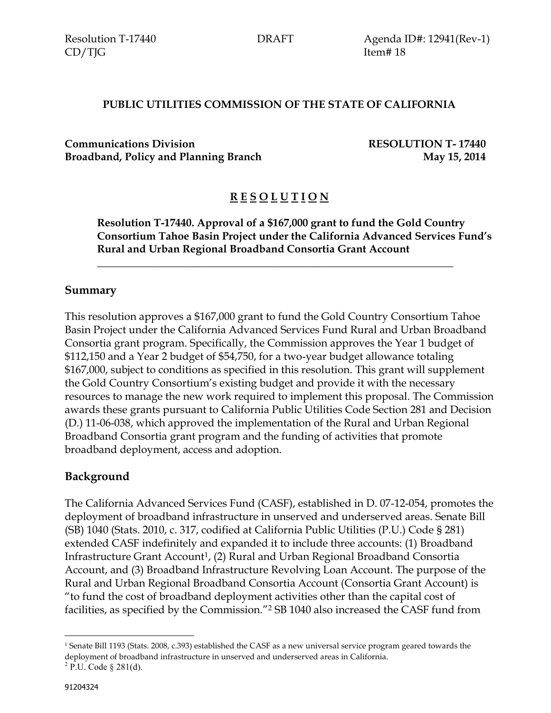Resolution T-17440 DRAFT Agenda ID#: 12941(Rev-1)

#### **PUBLIC UTILITIES COMMISSION OF THE STATE OF CALIFORNIA**

**Communications Division RESOLUTION T- 17440 Broadband, Policy and Planning Branch May 15, 2014**

## **R E S O L U T I O N**

\_\_\_\_\_\_\_\_**\_**\_\_\_\_\_\_\_\_\_\_\_\_\_\_\_\_\_\_\_\_\_\_\_\_\_\_\_\_\_\_\_\_\_\_\_\_\_\_\_\_\_\_\_\_\_\_\_\_\_\_\_\_\_\_\_\_\_

**Resolution T-17440. Approval of a \$167,000 grant to fund the Gold Country Consortium Tahoe Basin Project under the California Advanced Services Fund's Rural and Urban Regional Broadband Consortia Grant Account**

#### **Summary**

This resolution approves a \$167,000 grant to fund the Gold Country Consortium Tahoe Basin Project under the California Advanced Services Fund Rural and Urban Broadband Consortia grant program. Specifically, the Commission approves the Year 1 budget of \$112,150 and a Year 2 budget of \$54,750, for a two-year budget allowance totaling \$167,000, subject to conditions as specified in this resolution. This grant will supplement the Gold Country Consortium's existing budget and provide it with the necessary resources to manage the new work required to implement this proposal. The Commission awards these grants pursuant to California Public Utilities Code Section 281 and Decision (D.) 11-06-038, which approved the implementation of the Rural and Urban Regional Broadband Consortia grant program and the funding of activities that promote broadband deployment, access and adoption.

#### **Background**

The California Advanced Services Fund (CASF), established in D. 07-12-054, promotes the deployment of broadband infrastructure in unserved and underserved areas. Senate Bill (SB) 1040 (Stats. 2010, c. 317, codified at California Public Utilities (P.U.) Code § 281) extended CASF indefinitely and expanded it to include three accounts: (1) Broadband Infrastructure Grant Account<sup>1</sup>, (2) Rural and Urban Regional Broadband Consortia Account, and (3) Broadband Infrastructure Revolving Loan Account. The purpose of the Rural and Urban Regional Broadband Consortia Account (Consortia Grant Account) is "to fund the cost of broadband deployment activities other than the capital cost of facilities, as specified by the Commission."<sup>2</sup> SB 1040 also increased the CASF fund from

 $\overline{a}$ 

<sup>1</sup> Senate Bill 1193 (Stats. 2008, c.393) established the CASF as a new universal service program geared towards the deployment of broadband infrastructure in unserved and underserved areas in California.

 $^{2}$  P.U. Code § 281(d).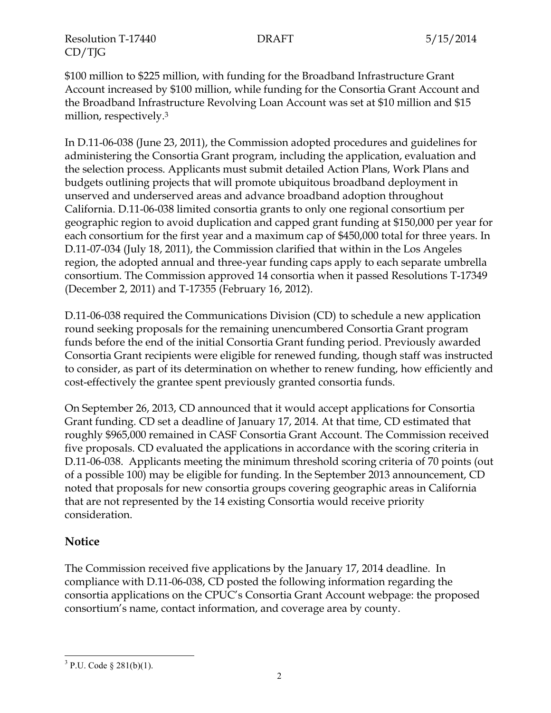Resolution T-17440 DRAFT 5/15/2014 CD/TJG

\$100 million to \$225 million, with funding for the Broadband Infrastructure Grant Account increased by \$100 million, while funding for the Consortia Grant Account and the Broadband Infrastructure Revolving Loan Account was set at \$10 million and \$15 million, respectively.<sup>3</sup>

In D.11-06-038 (June 23, 2011), the Commission adopted procedures and guidelines for administering the Consortia Grant program, including the application, evaluation and the selection process. Applicants must submit detailed Action Plans, Work Plans and budgets outlining projects that will promote ubiquitous broadband deployment in unserved and underserved areas and advance broadband adoption throughout California. D.11-06-038 limited consortia grants to only one regional consortium per geographic region to avoid duplication and capped grant funding at \$150,000 per year for each consortium for the first year and a maximum cap of \$450,000 total for three years. In D.11-07-034 (July 18, 2011), the Commission clarified that within in the Los Angeles region, the adopted annual and three-year funding caps apply to each separate umbrella consortium. The Commission approved 14 consortia when it passed Resolutions T-17349 (December 2, 2011) and T-17355 (February 16, 2012).

D.11-06-038 required the Communications Division (CD) to schedule a new application round seeking proposals for the remaining unencumbered Consortia Grant program funds before the end of the initial Consortia Grant funding period. Previously awarded Consortia Grant recipients were eligible for renewed funding, though staff was instructed to consider, as part of its determination on whether to renew funding, how efficiently and cost-effectively the grantee spent previously granted consortia funds.

On September 26, 2013, CD announced that it would accept applications for Consortia Grant funding. CD set a deadline of January 17, 2014. At that time, CD estimated that roughly \$965,000 remained in CASF Consortia Grant Account. The Commission received five proposals. CD evaluated the applications in accordance with the scoring criteria in D.11-06-038. Applicants meeting the minimum threshold scoring criteria of 70 points (out of a possible 100) may be eligible for funding. In the September 2013 announcement, CD noted that proposals for new consortia groups covering geographic areas in California that are not represented by the 14 existing Consortia would receive priority consideration.

# **Notice**

The Commission received five applications by the January 17, 2014 deadline. In compliance with D.11-06-038, CD posted the following information regarding the consortia applications on the CPUC's Consortia Grant Account webpage: the proposed consortium's name, contact information, and coverage area by county.

 $\overline{a}$  $3$  P.U. Code § 281(b)(1).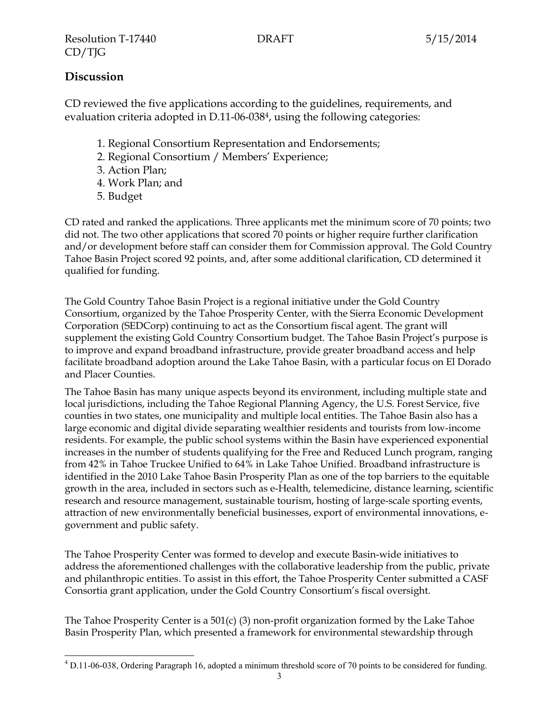# **Discussion**

CD reviewed the five applications according to the guidelines, requirements, and evaluation criteria adopted in D.11-06-0384, using the following categories:

- 1. Regional Consortium Representation and Endorsements;
- 2. Regional Consortium / Members' Experience;
- 3. Action Plan;
- 4. Work Plan; and
- 5. Budget

CD rated and ranked the applications. Three applicants met the minimum score of 70 points; two did not. The two other applications that scored 70 points or higher require further clarification and/or development before staff can consider them for Commission approval. The Gold Country Tahoe Basin Project scored 92 points, and, after some additional clarification, CD determined it qualified for funding.

The Gold Country Tahoe Basin Project is a regional initiative under the Gold Country Consortium, organized by the Tahoe Prosperity Center, with the Sierra Economic Development Corporation (SEDCorp) continuing to act as the Consortium fiscal agent. The grant will supplement the existing Gold Country Consortium budget. The Tahoe Basin Project's purpose is to improve and expand broadband infrastructure, provide greater broadband access and help facilitate broadband adoption around the Lake Tahoe Basin, with a particular focus on El Dorado and Placer Counties.

The Tahoe Basin has many unique aspects beyond its environment, including multiple state and local jurisdictions, including the Tahoe Regional Planning Agency, the U.S. Forest Service, five counties in two states, one municipality and multiple local entities. The Tahoe Basin also has a large economic and digital divide separating wealthier residents and tourists from low-income residents. For example, the public school systems within the Basin have experienced exponential increases in the number of students qualifying for the Free and Reduced Lunch program, ranging from 42% in Tahoe Truckee Unified to 64% in Lake Tahoe Unified. Broadband infrastructure is identified in the 2010 Lake Tahoe Basin Prosperity Plan as one of the top barriers to the equitable growth in the area, included in sectors such as e-Health, telemedicine, distance learning, scientific research and resource management, sustainable tourism, hosting of large-scale sporting events, attraction of new environmentally beneficial businesses, export of environmental innovations, egovernment and public safety.

The Tahoe Prosperity Center was formed to develop and execute Basin-wide initiatives to address the aforementioned challenges with the collaborative leadership from the public, private and philanthropic entities. To assist in this effort, the Tahoe Prosperity Center submitted a CASF Consortia grant application, under the Gold Country Consortium's fiscal oversight.

The Tahoe Prosperity Center is a  $501(c)$  (3) non-profit organization formed by the Lake Tahoe Basin Prosperity Plan, which presented a framework for environmental stewardship through

 $\overline{a}$ <sup>4</sup> D.11-06-038, Ordering Paragraph 16, adopted a minimum threshold score of 70 points to be considered for funding.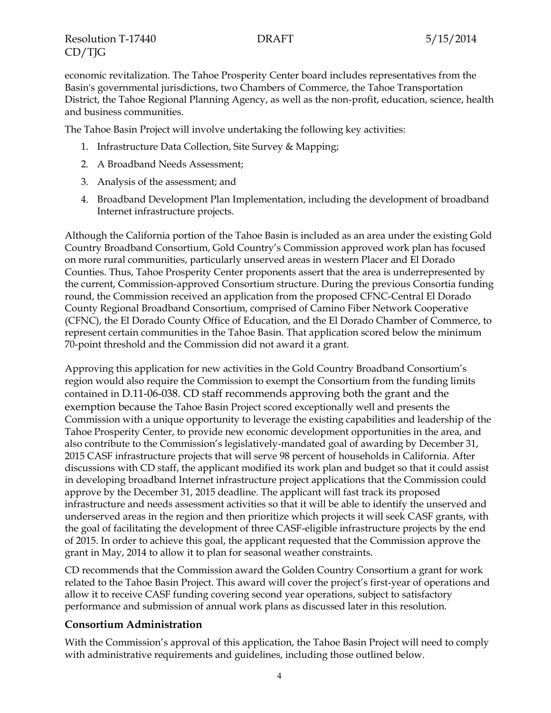Resolution T-17440 DRAFT 5/15/2014 CD/TJG

economic revitalization. The Tahoe Prosperity Center board includes representatives from the Basin's governmental jurisdictions, two Chambers of Commerce, the Tahoe Transportation District, the Tahoe Regional Planning Agency, as well as the non-profit, education, science, health and business communities.

The Tahoe Basin Project will involve undertaking the following key activities:

- 1. Infrastructure Data Collection, Site Survey & Mapping;
- 2. A Broadband Needs Assessment;
- 3. Analysis of the assessment; and
- 4. Broadband Development Plan Implementation, including the development of broadband Internet infrastructure projects.

Although the California portion of the Tahoe Basin is included as an area under the existing Gold Country Broadband Consortium, Gold Country's Commission approved work plan has focused on more rural communities, particularly unserved areas in western Placer and El Dorado Counties. Thus, Tahoe Prosperity Center proponents assert that the area is underrepresented by the current, Commission-approved Consortium structure. During the previous Consortia funding round, the Commission received an application from the proposed CFNC-Central El Dorado County Regional Broadband Consortium, comprised of Camino Fiber Network Cooperative (CFNC), the El Dorado County Office of Education, and the El Dorado Chamber of Commerce, to represent certain communities in the Tahoe Basin. That application scored below the minimum 70-point threshold and the Commission did not award it a grant.

Approving this application for new activities in the Gold Country Broadband Consortium's region would also require the Commission to exempt the Consortium from the funding limits contained in D.11-06-038. CD staff recommends approving both the grant and the exemption because the Tahoe Basin Project scored exceptionally well and presents the Commission with a unique opportunity to leverage the existing capabilities and leadership of the Tahoe Prosperity Center, to provide new economic development opportunities in the area, and also contribute to the Commission's legislatively-mandated goal of awarding by December 31, 2015 CASF infrastructure projects that will serve 98 percent of households in California. After discussions with CD staff, the applicant modified its work plan and budget so that it could assist in developing broadband Internet infrastructure project applications that the Commission could approve by the December 31, 2015 deadline. The applicant will fast track its proposed infrastructure and needs assessment activities so that it will be able to identify the unserved and underserved areas in the region and then prioritize which projects it will seek CASF grants, with the goal of facilitating the development of three CASF-eligible infrastructure projects by the end of 2015. In order to achieve this goal, the applicant requested that the Commission approve the grant in May, 2014 to allow it to plan for seasonal weather constraints.

CD recommends that the Commission award the Golden Country Consortium a grant for work related to the Tahoe Basin Project. This award will cover the project's first-year of operations and allow it to receive CASF funding covering second year operations, subject to satisfactory performance and submission of annual work plans as discussed later in this resolution.

#### **Consortium Administration**

With the Commission's approval of this application, the Tahoe Basin Project will need to comply with administrative requirements and guidelines, including those outlined below.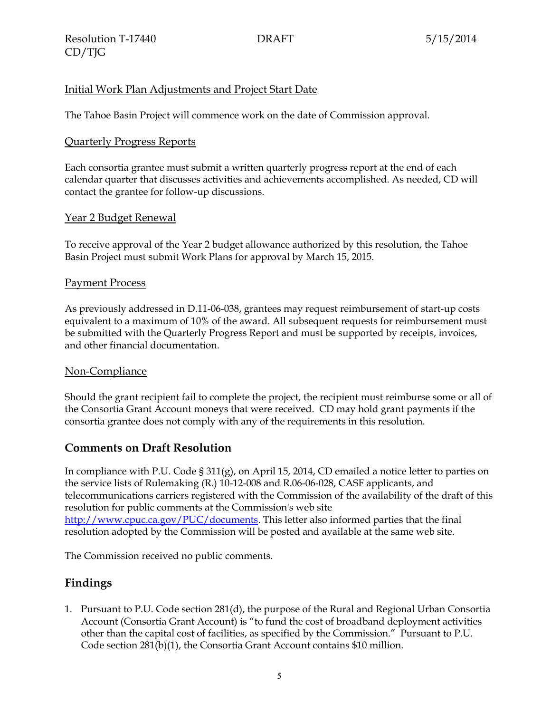### Initial Work Plan Adjustments and Project Start Date

The Tahoe Basin Project will commence work on the date of Commission approval.

#### Quarterly Progress Reports

Each consortia grantee must submit a written quarterly progress report at the end of each calendar quarter that discusses activities and achievements accomplished. As needed, CD will contact the grantee for follow-up discussions.

#### Year 2 Budget Renewal

To receive approval of the Year 2 budget allowance authorized by this resolution, the Tahoe Basin Project must submit Work Plans for approval by March 15, 2015.

#### Payment Process

As previously addressed in D.11-06-038, grantees may request reimbursement of start-up costs equivalent to a maximum of 10% of the award. All subsequent requests for reimbursement must be submitted with the Quarterly Progress Report and must be supported by receipts, invoices, and other financial documentation.

#### Non-Compliance

Should the grant recipient fail to complete the project, the recipient must reimburse some or all of the Consortia Grant Account moneys that were received. CD may hold grant payments if the consortia grantee does not comply with any of the requirements in this resolution.

#### **Comments on Draft Resolution**

In compliance with P.U. Code § 311(g), on April 15, 2014, CD emailed a notice letter to parties on the service lists of Rulemaking (R.) 10-12-008 and R.06-06-028, CASF applicants, and telecommunications carriers registered with the Commission of the availability of the draft of this resolution for public comments at the Commission's web site [http://www.cpuc.ca.gov/PUC/documents.](http://www.cpuc.ca.gov/PUC/documents) This letter also informed parties that the final resolution adopted by the Commission will be posted and available at the same web site.

The Commission received no public comments.

#### **Findings**

1. Pursuant to P.U. Code section 281(d), the purpose of the Rural and Regional Urban Consortia Account (Consortia Grant Account) is "to fund the cost of broadband deployment activities other than the capital cost of facilities, as specified by the Commission." Pursuant to P.U. Code section 281(b)(1), the Consortia Grant Account contains \$10 million.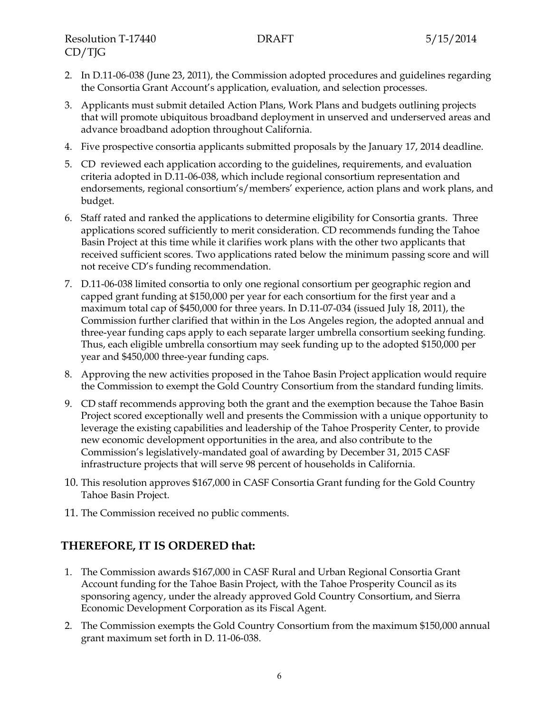- 2. In D.11-06-038 (June 23, 2011), the Commission adopted procedures and guidelines regarding the Consortia Grant Account's application, evaluation, and selection processes.
- 3. Applicants must submit detailed Action Plans, Work Plans and budgets outlining projects that will promote ubiquitous broadband deployment in unserved and underserved areas and advance broadband adoption throughout California.
- 4. Five prospective consortia applicants submitted proposals by the January 17, 2014 deadline.
- 5. CD reviewed each application according to the guidelines, requirements, and evaluation criteria adopted in D.11-06-038, which include regional consortium representation and endorsements, regional consortium's/members' experience, action plans and work plans, and budget.
- 6. Staff rated and ranked the applications to determine eligibility for Consortia grants. Three applications scored sufficiently to merit consideration. CD recommends funding the Tahoe Basin Project at this time while it clarifies work plans with the other two applicants that received sufficient scores. Two applications rated below the minimum passing score and will not receive CD's funding recommendation.
- 7. D.11-06-038 limited consortia to only one regional consortium per geographic region and capped grant funding at \$150,000 per year for each consortium for the first year and a maximum total cap of \$450,000 for three years. In D.11-07-034 (issued July 18, 2011), the Commission further clarified that within in the Los Angeles region, the adopted annual and three-year funding caps apply to each separate larger umbrella consortium seeking funding. Thus, each eligible umbrella consortium may seek funding up to the adopted \$150,000 per year and \$450,000 three-year funding caps.
- 8. Approving the new activities proposed in the Tahoe Basin Project application would require the Commission to exempt the Gold Country Consortium from the standard funding limits.
- 9. CD staff recommends approving both the grant and the exemption because the Tahoe Basin Project scored exceptionally well and presents the Commission with a unique opportunity to leverage the existing capabilities and leadership of the Tahoe Prosperity Center, to provide new economic development opportunities in the area, and also contribute to the Commission's legislatively-mandated goal of awarding by December 31, 2015 CASF infrastructure projects that will serve 98 percent of households in California.
- 10. This resolution approves \$167,000 in CASF Consortia Grant funding for the Gold Country Tahoe Basin Project.
- 11. The Commission received no public comments.

# **THEREFORE, IT IS ORDERED that:**

- 1. The Commission awards \$167,000 in CASF Rural and Urban Regional Consortia Grant Account funding for the Tahoe Basin Project, with the Tahoe Prosperity Council as its sponsoring agency, under the already approved Gold Country Consortium, and Sierra Economic Development Corporation as its Fiscal Agent.
- 2. The Commission exempts the Gold Country Consortium from the maximum \$150,000 annual grant maximum set forth in D. 11-06-038.